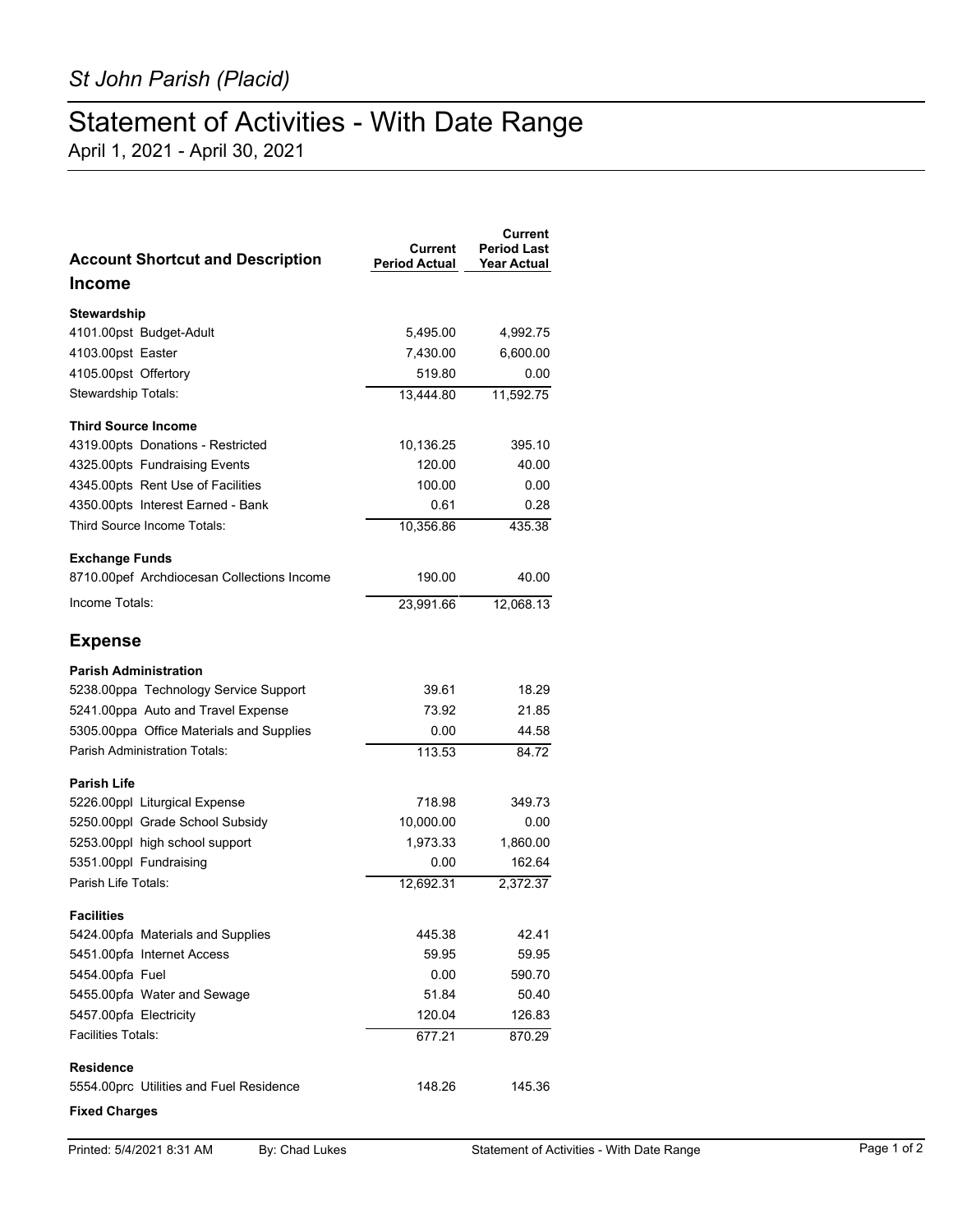## Statement of Activities - With Date Range

April 1, 2021 - April 30, 2021

| <b>Account Shortcut and Description</b>    | Current<br><b>Period Actual</b> | Current<br><b>Period Last</b><br><b>Year Actual</b> |
|--------------------------------------------|---------------------------------|-----------------------------------------------------|
| Income                                     |                                 |                                                     |
| Stewardship                                |                                 |                                                     |
| 4101.00pst Budget-Adult                    | 5,495.00                        | 4,992.75                                            |
| 4103.00pst Easter                          | 7,430.00                        | 6,600.00                                            |
| 4105.00pst Offertory                       | 519.80                          | 0.00                                                |
| Stewardship Totals:                        | 13.444.80                       | 11,592.75                                           |
| <b>Third Source Income</b>                 |                                 |                                                     |
| 4319.00pts Donations - Restricted          | 10,136.25                       | 395.10                                              |
| 4325.00pts Fundraising Events              | 120.00                          | 40.00                                               |
| 4345.00pts Rent Use of Facilities          | 100.00                          | 0.00                                                |
| 4350.00pts Interest Earned - Bank          | 0.61                            | 0.28                                                |
| Third Source Income Totals:                | 10,356.86                       | 435.38                                              |
| <b>Exchange Funds</b>                      |                                 |                                                     |
| 8710.00pef Archdiocesan Collections Income | 190.00                          | 40.00                                               |
| Income Totals:                             | 23,991.66                       | 12.068.13                                           |
| <b>Expense</b>                             |                                 |                                                     |
| <b>Parish Administration</b>               |                                 |                                                     |
| 5238.00ppa Technology Service Support      | 39.61                           | 18.29                                               |
| 5241.00ppa Auto and Travel Expense         | 73.92                           | 21.85                                               |
| 5305.00ppa Office Materials and Supplies   | 0.00                            | 44.58                                               |
| <b>Parish Administration Totals:</b>       | 113.53                          | 84.72                                               |
| Parish Life                                |                                 |                                                     |
| 5226.00ppl Liturgical Expense              | 718.98                          | 349.73                                              |
| 5250.00ppl Grade School Subsidy            | 10,000.00                       | 0.00                                                |
| 5253.00ppl high school support             | 1,973.33                        | 1,860.00                                            |
| 5351.00ppl Fundraising                     | 0.00                            | 162.64                                              |
| Parish Life Totals:                        | 12.692.31                       | 2,372.37                                            |
| <b>Facilities</b>                          |                                 |                                                     |
| 5424.00pfa Materials and Supplies          | 445.38                          | 42.41                                               |
| 5451.00pfa Internet Access                 | 59.95                           | 59.95                                               |
| 5454.00pfa Fuel                            | 0.00                            | 590.70                                              |
| 5455.00pfa Water and Sewage                | 51.84                           | 50.40                                               |
| 5457.00pfa Electricity                     | 120.04                          | 126.83                                              |
| <b>Facilities Totals:</b>                  | 677.21                          | 870.29                                              |
| <b>Residence</b>                           |                                 |                                                     |
| 5554.00prc Utilities and Fuel Residence    | 148.26                          | 145.36                                              |
|                                            |                                 |                                                     |

## **Fixed Charges**